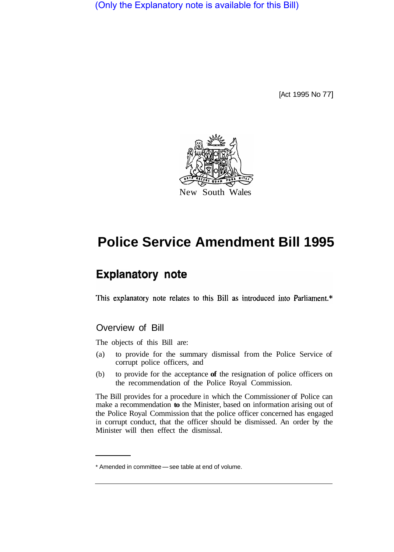(Only the Explanatory note is available for this Bill)

[Act 1995 No 77]



## **Police Service Amendment Bill 1995**

## **Explanatory note**

This explanatory note relates to this Bill as introduced into Parliament.\*

## Overview of Bill

The objects of this Bill are:

- (a) to provide for the summary dismissal from the Police Service of corrupt police officers, and
- (b) to provide for the acceptance **of** the resignation of police officers on the recommendation of the Police Royal Commission.

The Bill provides for a procedure in which the Commissioner of Police can make a recommendation **to** the Minister, based on information arising out of the Police Royal Commission that the police officer concerned has engaged in corrupt conduct, that the officer should be dismissed. An order by the Minister will then effect the dismissal.

<sup>\*</sup> Amended in committee - see table at end of volume.